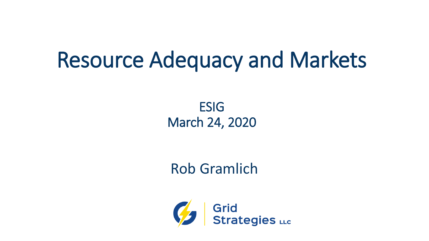# Resource Adequacy and Markets

ESIG March 24, 2020

## Rob Gramlich

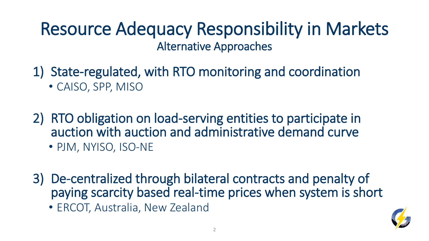## Resource Adequacy Responsibility in Markets Alternative Approaches

- 1) State-regulated, with RTO monitoring and coordination • CAISO, SPP, MISO
- 2) RTO obligation on load-serving entities to participate in auction with auction and administrative demand curve • PJM, NYISO, ISO-NE
- 3) De-centralized through bilateral contracts and penalty of paying scarcity based real-time prices when system is short
	- ERCOT, Australia, New Zealand

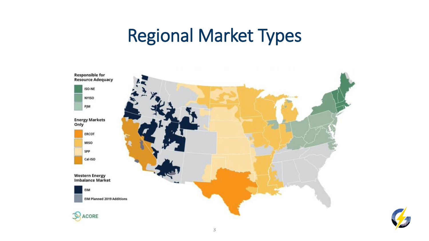# Regional Market Types



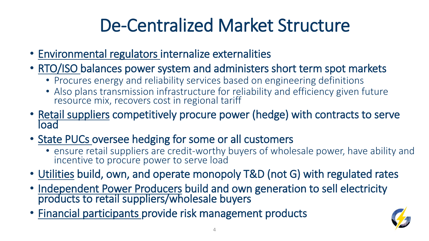# De-Centralized Market Structure

- Environmental regulators internalize externalities
- RTO/ISO balances power system and administers short term spot markets
	- Procures energy and reliability services based on engineering definitions
	- Also plans transmission infrastructure for reliability and efficiency given future resource mix, recovers cost in regional tariff
- Retail suppliers competitively procure power (hedge) with contracts to serve load
- State PUCs oversee hedging for some or all customers
	- ensure retail suppliers are credit-worthy buyers of wholesale power, have ability and incentive to procure power to serve load
- Utilities build, own, and operate monopoly T&D (not G) with regulated rates
- Independent Power Producers build and own generation to sell electricity products to retail suppliers/wholesale buyers
- Financial participants provide risk management products

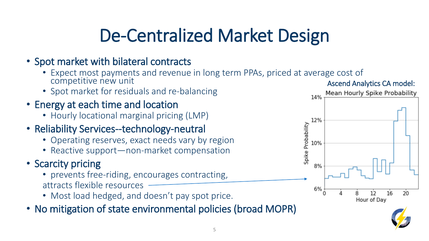# De-Centralized Market Design

#### • Spot market with bilateral contracts

- Expect most payments and revenue in long term PPAs, priced at average cost of competitive new unit
- Spot market for residuals and re-balancing
- Energy at each time and location
	- Hourly locational marginal pricing (LMP)
- Reliability Services--technology-neutral
	- Operating reserves, exact needs vary by region
	- Reactive support—non-market compensation

#### • Scarcity pricing

- prevents free-riding, encourages contracting, attracts flexible resources
- Most load hedged, and doesn't pay spot price.
- No mitigation of state environmental policies (broad MOPR)



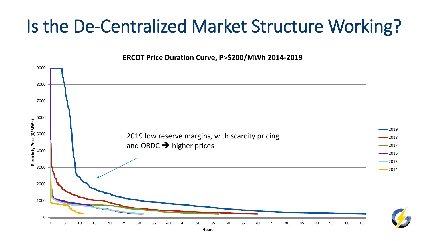# Is the De-Centralized Market Structure Working?

#### **ERCOT Price Duration Curve, P>\$200/MWh 2014-2019**

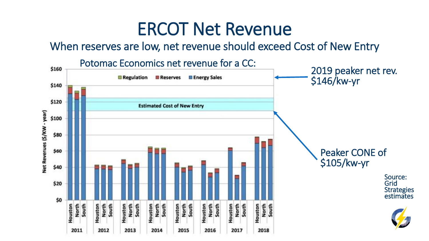## ERCOT Net Revenue

When reserves are low, net revenue should exceed Cost of New Entry

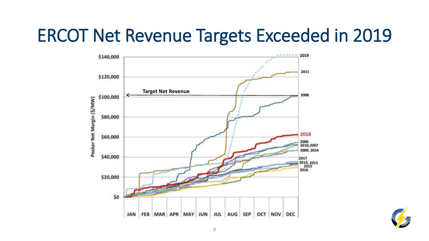# ERCOT Net Revenue Targets Exceeded in 2019



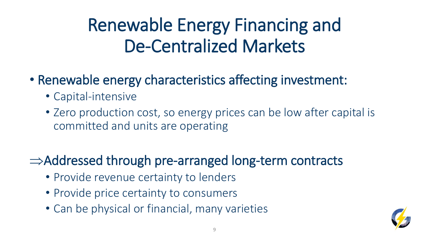# Renewable Energy Financing and De-Centralized Markets

- Renewable energy characteristics affecting investment:
	- Capital-intensive
	- Zero production cost, so energy prices can be low after capital is committed and units are operating
- $\Rightarrow$  Addressed through pre-arranged long-term contracts
	- Provide revenue certainty to lenders
	- Provide price certainty to consumers
	- Can be physical or financial, many varieties

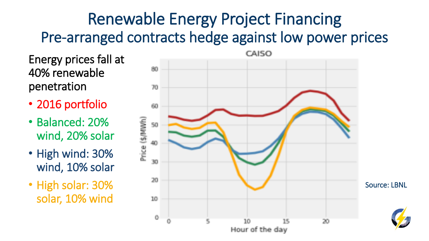## Renewable Energy Project Financing Pre-arranged contracts hedge against low power prices

Energy prices fall at 40% renewable penetration

- 2016 portfolio
- Balanced: 20% wind, 20% solar
- High wind: 30% wind, 10% solar
- High solar: 30% solar, 10% wind

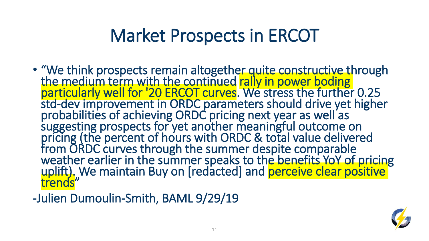# Market Prospects in ERCOT

- "We think prospects remain altogether quite constructive through the medium term with the continued rally in power boding particularly well for '20 ERCOT curves. We stress the further 0.25 std-dev improvement in ORDC parameters should drive yet higher probabilities of achieving ORDC pricing next year as well as suggesting prospects for yet another meaningful outcome on pricing (the percent of hours with ORDC & total value delivered from ORDC curves through the summer despite comparable weather earlier in the summer speaks to the benefits YoY of pricing uplift). We maintain Buy on [redacted] and perceive clear positive trends"
- -Julien Dumoulin-Smith, BAML 9/29/19

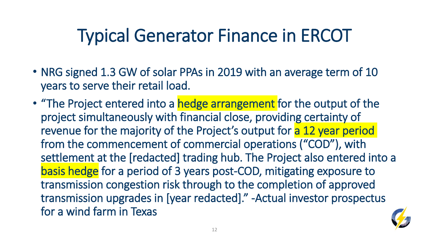# Typical Generator Finance in ERCOT

- NRG signed 1.3 GW of solar PPAs in 2019 with an average term of 10 years to serve their retail load.
- "The Project entered into a hedge arrangement for the output of the project simultaneously with financial close, providing certainty of revenue for the majority of the Project's output for a 12 year period from the commencement of commercial operations ("COD"), with settlement at the [redacted] trading hub. The Project also entered into a basis hedge for a period of 3 years post-COD, mitigating exposure to transmission congestion risk through to the completion of approved transmission upgrades in [year redacted]." -Actual investor prospectus for a wind farm in Texas

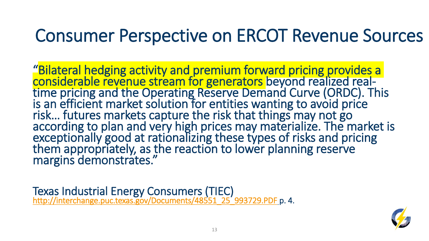## Consumer Perspective on ERCOT Revenue Sources

"Bilateral hedging activity and premium forward pricing provides a considerable revenue stream for generators beyond realized realtime pricing and the Operating Reserve Demand Curve (ORDC). This is an efficient market solution for entities wanting to avoid price risk… futures markets capture the risk that things may not go according to plan and very high prices may materialize. The market is exceptionally good at rationalizing these types of risks and pricing them appropriately, as the reaction to lower planning reserve margins demonstrates."

Texas Industrial Energy Consumers (TIEC) [http://interchange.puc.texas.gov/Documents/48551\\_25\\_993729.PDF](http://interchange.puc.texas.gov/Documents/48551_25_993729.PDF) p. 4.

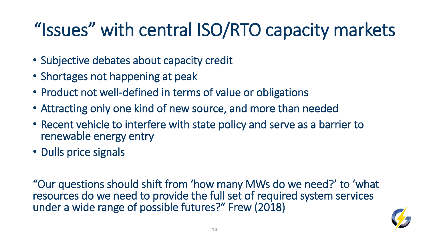# "Issues" with central ISO/RTO capacity markets

- Subjective debates about capacity credit
- Shortages not happening at peak
- Product not well-defined in terms of value or obligations
- Attracting only one kind of new source, and more than needed
- Recent vehicle to interfere with state policy and serve as a barrier to renewable energy entry
- Dulls price signals

"Our questions should shift from 'how many MWs do we need?' to 'what resources do we need to provide the full set of required system services under a wide range of possible futures?" Frew (2018)

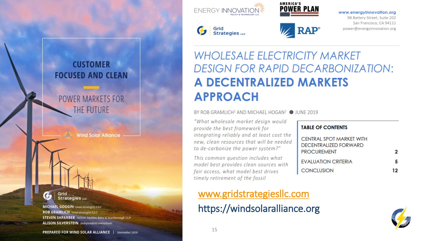

 $\mathcal{G}$  Grid Strategies  $\mathfrak{g}_{\mathfrak{g}}$ 



**Z**RAP®

**TABLE OF CONTENTS** 

**PROCUREMENT** 

**CONCLUSION** 

CENTRAL SPOT MARKET WITH

**DECENTRALIZED FORWARD** 

**EVALUATION CRITERIA** 

#### www.energyInnovation.org

98 Battery Street, Suite 202 San Francisco, CA 94111 power@energyinnovation.org



#### **POWER MARKETS FOR** THE FUTURE

**Wind Solar Alliance** 

Grid Strategies LLC

**MICHAEL GOGGIN** Grid Strategies LLC **ROB GRAMLICH** Grid Strategies LLC **STEVEN SHPARBER** Nelson Mullins Riley & Scarborough LLP **ALISON SILVERSTEIN** Independent consultant

### **WHOLESALE ELECTRICITY MARKET DESIGN FOR RAPID DECARBONIZATION: A DECENTRALIZED MARKETS APPROACH**

BY ROB GRAMLICH<sup>1</sup> AND MICHAEL HOGAN<sup>2</sup> ● JUNE 2019

"What wholesale market design would provide the best framework for integrating reliably and at least cost the new, clean resources that will be needed to de-carbonize the power system?"

This common question includes what model best provides clean sources with fair access, what model best drives timely retirement of the fossil

## [www.gridstrategiesllc.com](http://www.gridstrategiesllc.com/)

#### https://windsolaralliance.org



2

5

 $12 \,$